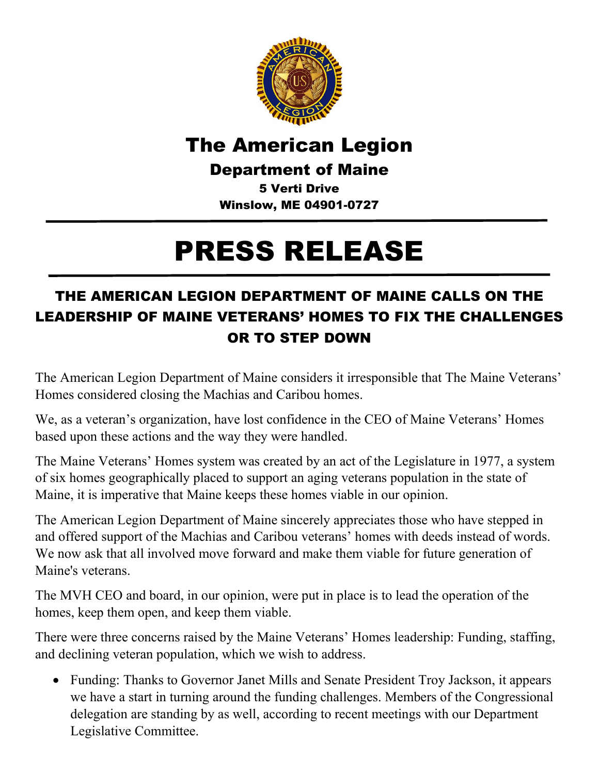

## The American Legion

Department of Maine

5 Verti Drive Winslow, ME 04901-0727

## PRESS RELEASE

## THE AMERICAN LEGION DEPARTMENT OF MAINE CALLS ON THE LEADERSHIP OF MAINE VETERANS' HOMES TO FIX THE CHALLENGES OR TO STEP DOWN

The American Legion Department of Maine considers it irresponsible that The Maine Veterans' Homes considered closing the Machias and Caribou homes.

We, as a veteran's organization, have lost confidence in the CEO of Maine Veterans' Homes based upon these actions and the way they were handled.

The Maine Veterans' Homes system was created by an act of the Legislature in 1977, a system of six homes geographically placed to support an aging veterans population in the state of Maine, it is imperative that Maine keeps these homes viable in our opinion.

The American Legion Department of Maine sincerely appreciates those who have stepped in and offered support of the Machias and Caribou veterans' homes with deeds instead of words. We now ask that all involved move forward and make them viable for future generation of Maine's veterans.

The MVH CEO and board, in our opinion, were put in place is to lead the operation of the homes, keep them open, and keep them viable.

There were three concerns raised by the Maine Veterans' Homes leadership: Funding, staffing, and declining veteran population, which we wish to address.

• Funding: Thanks to Governor Janet Mills and Senate President Troy Jackson, it appears we have a start in turning around the funding challenges. Members of the Congressional delegation are standing by as well, according to recent meetings with our Department Legislative Committee.